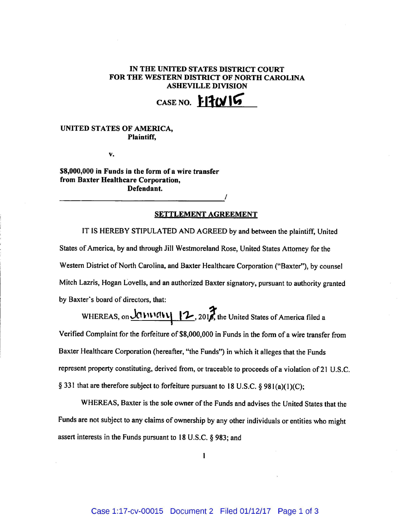## **IN THE UNITED STATES DISTRICT COURT** FOR THE WESTERN DISTRICT OF NORTH CAROLINA **ASHEVILLE DIVISION**

**CASE NO. 1-17015** 

## **UNITED STATES OF AMERICA, Plaintiff,**

v.

\$8,000,000 **in Funds in the form of a wire transfer from Baxter Healthcare Corporation, Defendant.** 

## **SETTLEMENT AGREEMENT**

**/** 

IT IS HEREBY STIPULATED AND AGREED by and between the plaintiff, United IT IS HEREB Y STIPULATE D AND AGREE D by and between the plaintiff, United States of America, by and through **Jill** Westmoreland Rose, United States Attorney for the Western District of North Carolina, and Baxter Healthcare Corporation ("Baxter"), by counsel  $W_{\text{max}}$ Mitch Lazris, Hogan Lovells, and an authorized Baxter signatory, pursuant to authority granted by Baxter's board of directors, that:  $\mathbf{b}$ 

 $\mathcal{L}$  is a set  $\mathcal{L}$  in the United States of America filed and  $\mathcal{L}$  $\mathcal{L}$  is the form of  $\mathcal{L}$  the form of a wire transfer from of a wire transfer from of a wire transfer from  $\mathcal{L}$ Baxter Healthcare Corporation (hereafter, "the Funds") in which it alleges that the Funds represent property constituting, derived from, or traceable to proceeds of a violation of 21 U.S.C. § 331 that are therefore subject to forfeiture pursuant to 18 U.S.C. § 981(a)(1)(C);

WHEREAS, Baxter is the sole owner of the Funds and advises the United States that the Funds are not subject to any claims of ownership by any other individuals or entities who might assert interests in the Funds pursuant to 18 U.S.C. § 983; and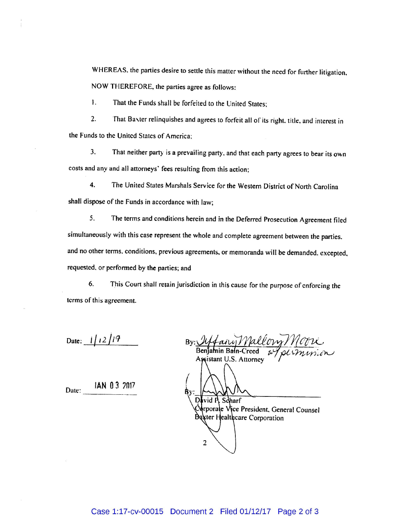WHEREAS, the parties desire to settle this matter without the need for further litigation. NOW THEREFORE, the parties agree as follows:

1. That the Funds shall be forfeited to the United States;

2. That Baxter relinquishes and agrees to forfeit all of its right, title, and interest in the Funds to the United States of America;

3. That neither party is a prevailing party, and that each party agrees to bear its own costs and any and all attorneys' fees resulting from this action;

4. The United States Marshals Service for the Western District of North Carolina shall dispose of the Funds in accordance with law;

5. The terms and conditions herein and in the Deferred Prosecution Agreement filed simultaneously with this case represent the whole and complete agreement between the parties, and no other terms, conditions, previous agreements, or memoranda will be demanded, excepted, requested, or performed by the parties; and

6. This Court shall retain jurisdiction in this cause for the purpose of enforcing the terms of this agreement.

Date:  $1/12/17$ 

Date: **IAN 0 3 2017** 

| fairy Mallory Moore<br>$By: \mathcal{L}$ |
|------------------------------------------|
| Benjamin Bain-Creed                      |
| Assistant U.S. Attorney                  |
|                                          |
| David P. Scharf                          |
| Arporale Vice President, General Counsel |
| Bexter Healthcare Corporation            |
|                                          |
|                                          |